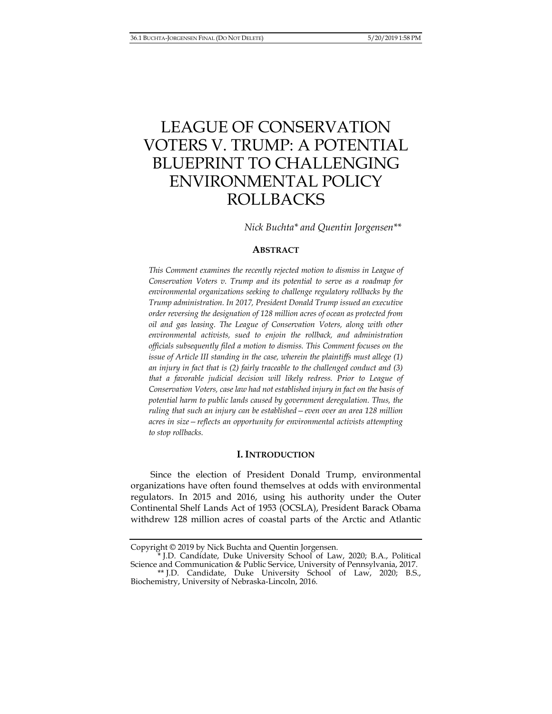# LEAGUE OF CONSERVATION VOTERS V. TRUMP: A POTENTIAL BLUEPRINT TO CHALLENGING ENVIRONMENTAL POLICY ROLLBACKS

 *Nick Buchta\* and Quentin Jorgensen\*\** 

## **ABSTRACT**

*This Comment examines the recently rejected motion to dismiss in League of Conservation Voters v. Trump and its potential to serve as a roadmap for environmental organizations seeking to challenge regulatory rollbacks by the Trump administration. In 2017, President Donald Trump issued an executive order reversing the designation of 128 million acres of ocean as protected from oil and gas leasing. The League of Conservation Voters, along with other environmental activists, sued to enjoin the rollback, and administration officials subsequently filed a motion to dismiss. This Comment focuses on the issue of Article III standing in the case, wherein the plaintiffs must allege (1) an injury in fact that is (2) fairly traceable to the challenged conduct and (3) that a favorable judicial decision will likely redress. Prior to League of Conservation Voters, case law had not established injury in fact on the basis of potential harm to public lands caused by government deregulation. Thus, the ruling that such an injury can be established—even over an area 128 million acres in size—reflects an opportunity for environmental activists attempting to stop rollbacks.* 

## **I. INTRODUCTION**

Since the election of President Donald Trump, environmental organizations have often found themselves at odds with environmental regulators. In 2015 and 2016, using his authority under the Outer Continental Shelf Lands Act of 1953 (OCSLA), President Barack Obama withdrew 128 million acres of coastal parts of the Arctic and Atlantic

Copyright © 2019 by Nick Buchta and Quentin Jorgensen.

J.D. Candidate, Duke University School of Law, 2020; B.A., Political Science and Communication & Public Service, University of Pennsylvania, 2017.

 <sup>\*\*</sup> J.D. Candidate, Duke University School of Law, 2020; B.S., Biochemistry, University of Nebraska-Lincoln, 2016.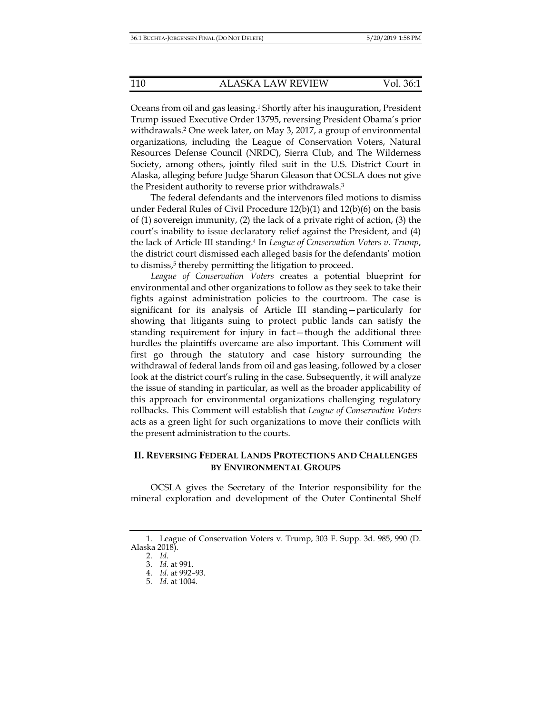Oceans from oil and gas leasing.1 Shortly after his inauguration, President Trump issued Executive Order 13795, reversing President Obama's prior withdrawals.2 One week later, on May 3, 2017, a group of environmental organizations, including the League of Conservation Voters, Natural Resources Defense Council (NRDC), Sierra Club, and The Wilderness Society, among others, jointly filed suit in the U.S. District Court in Alaska, alleging before Judge Sharon Gleason that OCSLA does not give the President authority to reverse prior withdrawals.3

The federal defendants and the intervenors filed motions to dismiss under Federal Rules of Civil Procedure  $12(b)(1)$  and  $12(b)(6)$  on the basis of (1) sovereign immunity, (2) the lack of a private right of action, (3) the court's inability to issue declaratory relief against the President, and (4) the lack of Article III standing.4 In *League of Conservation Voters v. Trump*, the district court dismissed each alleged basis for the defendants' motion to dismiss,<sup>5</sup> thereby permitting the litigation to proceed.

*League of Conservation Voters* creates a potential blueprint for environmental and other organizations to follow as they seek to take their fights against administration policies to the courtroom. The case is significant for its analysis of Article III standing—particularly for showing that litigants suing to protect public lands can satisfy the standing requirement for injury in fact—though the additional three hurdles the plaintiffs overcame are also important. This Comment will first go through the statutory and case history surrounding the withdrawal of federal lands from oil and gas leasing, followed by a closer look at the district court's ruling in the case. Subsequently, it will analyze the issue of standing in particular, as well as the broader applicability of this approach for environmental organizations challenging regulatory rollbacks. This Comment will establish that *League of Conservation Voters* acts as a green light for such organizations to move their conflicts with the present administration to the courts.

## **II. REVERSING FEDERAL LANDS PROTECTIONS AND CHALLENGES BY ENVIRONMENTAL GROUPS**

OCSLA gives the Secretary of the Interior responsibility for the mineral exploration and development of the Outer Continental Shelf

 <sup>1.</sup> League of Conservation Voters v. Trump, 303 F. Supp. 3d. 985, 990 (D. Alaska 2018).

 <sup>2.</sup> *Id*.

 <sup>3.</sup> *Id.* at 991.

 <sup>4.</sup> *Id.* at 992–93.

 <sup>5.</sup> *Id.* at 1004.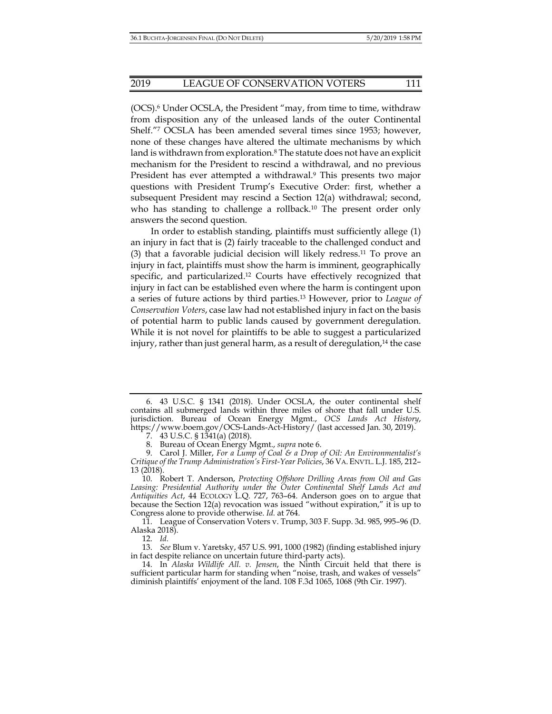(OCS).6 Under OCSLA, the President "may, from time to time, withdraw from disposition any of the unleased lands of the outer Continental Shelf."7 OCSLA has been amended several times since 1953; however, none of these changes have altered the ultimate mechanisms by which land is withdrawn from exploration.<sup>8</sup> The statute does not have an explicit mechanism for the President to rescind a withdrawal, and no previous President has ever attempted a withdrawal.9 This presents two major questions with President Trump's Executive Order: first, whether a subsequent President may rescind a Section 12(a) withdrawal; second, who has standing to challenge a rollback.<sup>10</sup> The present order only answers the second question.

In order to establish standing, plaintiffs must sufficiently allege (1) an injury in fact that is (2) fairly traceable to the challenged conduct and (3) that a favorable judicial decision will likely redress.11 To prove an injury in fact, plaintiffs must show the harm is imminent, geographically specific, and particularized.12 Courts have effectively recognized that injury in fact can be established even where the harm is contingent upon a series of future actions by third parties.13 However, prior to *League of Conservation Voters*, case law had not established injury in fact on the basis of potential harm to public lands caused by government deregulation. While it is not novel for plaintiffs to be able to suggest a particularized injury, rather than just general harm, as a result of deregulation,<sup>14</sup> the case

12. *Id.*

 <sup>6. 43</sup> U.S.C. § 1341 (2018). Under OCSLA, the outer continental shelf contains all submerged lands within three miles of shore that fall under U.S. jurisdiction. Bureau of Ocean Energy Mgmt., *OCS Lands Act History*, https://www.boem.gov/OCS-Lands-Act-History/ (last accessed Jan. 30, 2019).

 <sup>7. 43</sup> U.S.C. § 1341(a) (2018).

 <sup>8.</sup> Bureau of Ocean Energy Mgmt., *supra* note 6.

 <sup>9.</sup> Carol J. Miller, *For a Lump of Coal & a Drop of Oil: An Environmentalist's Critique of the Trump Administration's First-Year Policies*, 36 VA. ENVTL. L.J. 185, 212– 13 (2018).

 <sup>10.</sup> Robert T. Anderson, *Protecting Offshore Drilling Areas from Oil and Gas Leasing: Presidential Authority under the Outer Continental Shelf Lands Act and Antiquities Act*, 44 ECOLOGY L.Q. 727, 763–64. Anderson goes on to argue that because the Section 12(a) revocation was issued "without expiration," it is up to Congress alone to provide otherwise. *Id.* at 764.

 <sup>11.</sup> League of Conservation Voters v. Trump, 303 F. Supp. 3d. 985, 995–96 (D. Alaska 2018).

 <sup>13.</sup> *See* Blum v. Yaretsky, 457 U.S. 991, 1000 (1982) (finding established injury in fact despite reliance on uncertain future third-party acts).

 <sup>14.</sup> In *Alaska Wildlife All. v. Jensen*, the Ninth Circuit held that there is sufficient particular harm for standing when "noise, trash, and wakes of vessels" diminish plaintiffs' enjoyment of the land. 108 F.3d 1065, 1068 (9th Cir. 1997).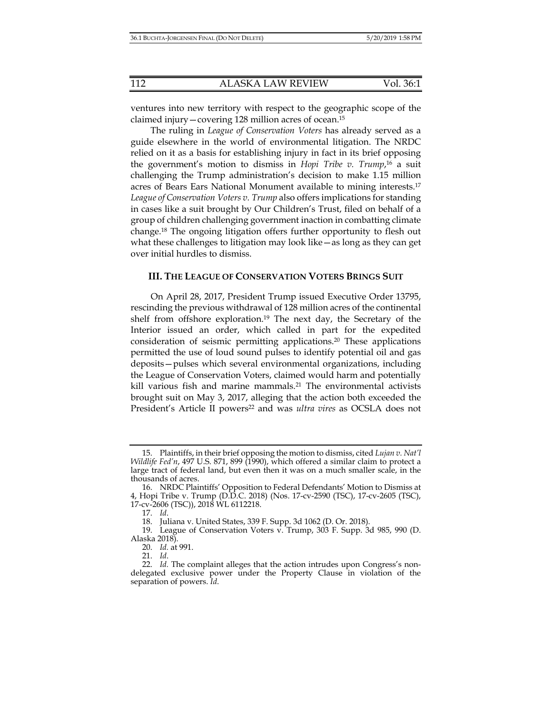ventures into new territory with respect to the geographic scope of the claimed injury—covering 128 million acres of ocean.15

The ruling in *League of Conservation Voters* has already served as a guide elsewhere in the world of environmental litigation. The NRDC relied on it as a basis for establishing injury in fact in its brief opposing the government's motion to dismiss in *Hopi Tribe v. Trump*, 16 a suit challenging the Trump administration's decision to make 1.15 million acres of Bears Ears National Monument available to mining interests.17 *League of Conservation Voters v. Trump* also offers implications for standing in cases like a suit brought by Our Children's Trust, filed on behalf of a group of children challenging government inaction in combatting climate change.18 The ongoing litigation offers further opportunity to flesh out what these challenges to litigation may look like—as long as they can get over initial hurdles to dismiss.

#### **III. THE LEAGUE OF CONSERVATION VOTERS BRINGS SUIT**

On April 28, 2017, President Trump issued Executive Order 13795, rescinding the previous withdrawal of 128 million acres of the continental shelf from offshore exploration.19 The next day, the Secretary of the Interior issued an order, which called in part for the expedited consideration of seismic permitting applications.20 These applications permitted the use of loud sound pulses to identify potential oil and gas deposits—pulses which several environmental organizations, including the League of Conservation Voters, claimed would harm and potentially kill various fish and marine mammals.<sup>21</sup> The environmental activists brought suit on May 3, 2017, alleging that the action both exceeded the President's Article II powers22 and was *ultra vires* as OCSLA does not

 <sup>15.</sup> Plaintiffs, in their brief opposing the motion to dismiss, cited *Lujan v. Nat'l Wildlife Fed'n*, 497 U.S. 871, 899 (1990), which offered a similar claim to protect a large tract of federal land, but even then it was on a much smaller scale, in the thousands of acres.

 <sup>16.</sup> NRDC Plaintiffs' Opposition to Federal Defendants' Motion to Dismiss at 4, Hopi Tribe v. Trump (D.D.C. 2018) (Nos. 17-cv-2590 (TSC), 17-cv-2605 (TSC), 17-cv-2606 (TSC)), 2018 WL 6112218.

 <sup>17.</sup> *Id*.

 <sup>18.</sup> Juliana v. United States, 339 F. Supp. 3d 1062 (D. Or. 2018).

 <sup>19.</sup> League of Conservation Voters v. Trump, 303 F. Supp. 3d 985, 990 (D. Alaska 2018).

 <sup>20.</sup> *Id.* at 991.

 <sup>21.</sup> *Id*.

 <sup>22.</sup> *Id.* The complaint alleges that the action intrudes upon Congress's nondelegated exclusive power under the Property Clause in violation of the separation of powers. *Id*.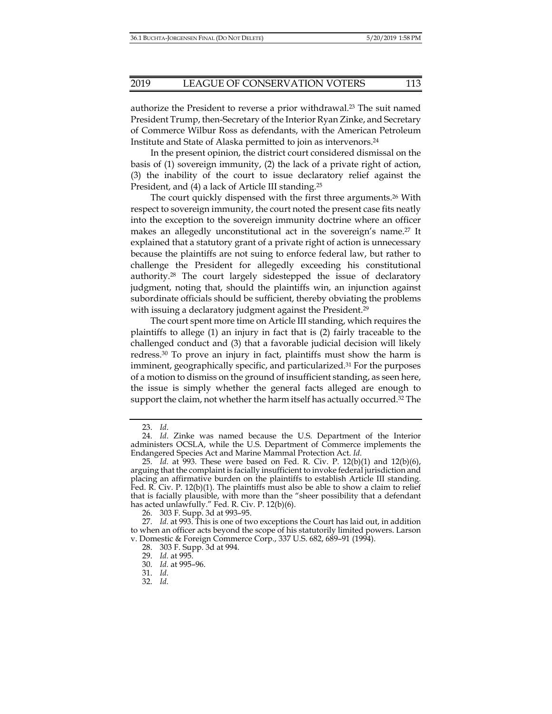authorize the President to reverse a prior withdrawal.<sup>23</sup> The suit named President Trump, then-Secretary of the Interior Ryan Zinke, and Secretary of Commerce Wilbur Ross as defendants, with the American Petroleum Institute and State of Alaska permitted to join as intervenors.24

In the present opinion, the district court considered dismissal on the basis of (1) sovereign immunity, (2) the lack of a private right of action, (3) the inability of the court to issue declaratory relief against the President, and (4) a lack of Article III standing.25

The court quickly dispensed with the first three arguments.26 With respect to sovereign immunity, the court noted the present case fits neatly into the exception to the sovereign immunity doctrine where an officer makes an allegedly unconstitutional act in the sovereign's name.27 It explained that a statutory grant of a private right of action is unnecessary because the plaintiffs are not suing to enforce federal law, but rather to challenge the President for allegedly exceeding his constitutional authority.28 The court largely sidestepped the issue of declaratory judgment, noting that, should the plaintiffs win, an injunction against subordinate officials should be sufficient, thereby obviating the problems with issuing a declaratory judgment against the President.<sup>29</sup>

The court spent more time on Article III standing, which requires the plaintiffs to allege (1) an injury in fact that is (2) fairly traceable to the challenged conduct and (3) that a favorable judicial decision will likely redress.30 To prove an injury in fact, plaintiffs must show the harm is imminent, geographically specific, and particularized.31 For the purposes of a motion to dismiss on the ground of insufficient standing, as seen here, the issue is simply whether the general facts alleged are enough to support the claim, not whether the harm itself has actually occurred.<sup>32</sup> The

 <sup>23.</sup> *Id*.

 <sup>24.</sup> *Id*. Zinke was named because the U.S. Department of the Interior administers OCSLA, while the U.S. Department of Commerce implements the Endangered Species Act and Marine Mammal Protection Act. *Id*.

 <sup>25.</sup> *Id.* at 993. These were based on Fed. R. Civ. P. 12(b)(1) and 12(b)(6), arguing that the complaint is facially insufficient to invoke federal jurisdiction and placing an affirmative burden on the plaintiffs to establish Article III standing. Fed. R. Civ. P. 12(b)(1). The plaintiffs must also be able to show a claim to relief that is facially plausible, with more than the "sheer possibility that a defendant has acted unlawfully." Fed. R. Civ. P. 12(b)(6).

 <sup>26. 303</sup> F. Supp. 3d at 993–95.

 <sup>27.</sup> *Id.* at 993. This is one of two exceptions the Court has laid out, in addition to when an officer acts beyond the scope of his statutorily limited powers. Larson v. Domestic & Foreign Commerce Corp., 337 U.S. 682, 689–91 (1994).

 <sup>28. 303</sup> F. Supp. 3d at 994.

 <sup>29.</sup> *Id.* at 995.

 <sup>30.</sup> *Id.* at 995–96.

 <sup>31.</sup> *Id.*

 <sup>32.</sup> *Id.*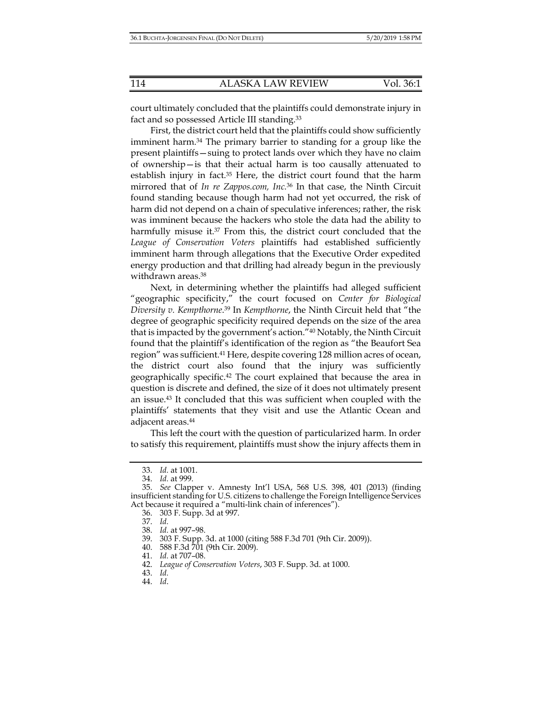court ultimately concluded that the plaintiffs could demonstrate injury in fact and so possessed Article III standing.33

First, the district court held that the plaintiffs could show sufficiently imminent harm.34 The primary barrier to standing for a group like the present plaintiffs—suing to protect lands over which they have no claim of ownership—is that their actual harm is too causally attenuated to establish injury in fact.<sup>35</sup> Here, the district court found that the harm mirrored that of *In re Zappos.com, Inc.*36 In that case, the Ninth Circuit found standing because though harm had not yet occurred, the risk of harm did not depend on a chain of speculative inferences; rather, the risk was imminent because the hackers who stole the data had the ability to harmfully misuse it.<sup>37</sup> From this, the district court concluded that the *League of Conservation Voters* plaintiffs had established sufficiently imminent harm through allegations that the Executive Order expedited energy production and that drilling had already begun in the previously withdrawn areas.38

Next, in determining whether the plaintiffs had alleged sufficient "geographic specificity," the court focused on *Center for Biological Diversity v. Kempthorne*. 39 In *Kempthorne*, the Ninth Circuit held that "the degree of geographic specificity required depends on the size of the area that is impacted by the government's action."40 Notably, the Ninth Circuit found that the plaintiff's identification of the region as "the Beaufort Sea region" was sufficient.41 Here, despite covering 128 million acres of ocean, the district court also found that the injury was sufficiently geographically specific.42 The court explained that because the area in question is discrete and defined, the size of it does not ultimately present an issue.43 It concluded that this was sufficient when coupled with the plaintiffs' statements that they visit and use the Atlantic Ocean and adjacent areas.44

This left the court with the question of particularized harm. In order to satisfy this requirement, plaintiffs must show the injury affects them in

 <sup>33.</sup> *Id.* at 1001.

 <sup>34.</sup> *Id.* at 999.

 <sup>35.</sup> *See* Clapper v. Amnesty Int'l USA, 568 U.S. 398, 401 (2013) (finding insufficient standing for U.S. citizens to challenge the Foreign Intelligence Services Act because it required a "multi-link chain of inferences").

 <sup>36. 303</sup> F. Supp. 3d at 997.

 <sup>37.</sup> *Id.*

 <sup>38.</sup> *Id.* at 997–98.

 <sup>39. 303</sup> F. Supp. 3d. at 1000 (citing 588 F.3d 701 (9th Cir. 2009)).

 <sup>40. 588</sup> F.3d 701 (9th Cir. 2009).

 <sup>41.</sup> *Id.* at 707–08.

 <sup>42.</sup> *League of Conservation Voters*, 303 F. Supp. 3d. at 1000.

 <sup>43.</sup> *Id.*

 <sup>44.</sup> *Id*.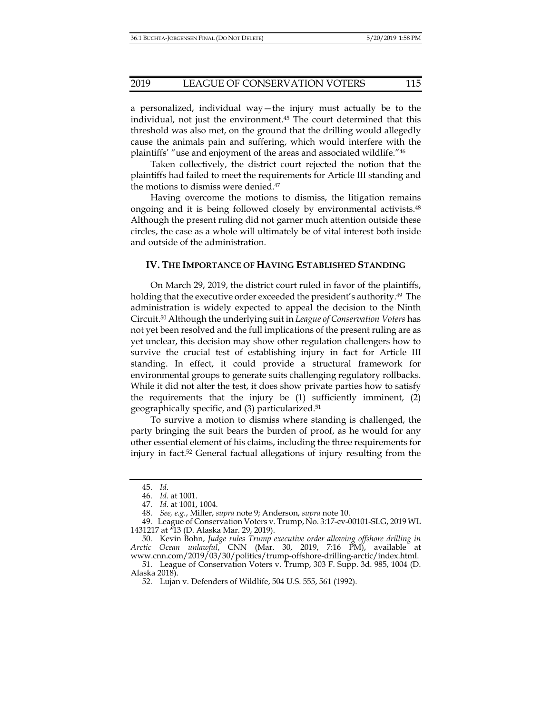a personalized, individual way—the injury must actually be to the individual, not just the environment.45 The court determined that this threshold was also met, on the ground that the drilling would allegedly cause the animals pain and suffering, which would interfere with the plaintiffs' "use and enjoyment of the areas and associated wildlife."46

Taken collectively, the district court rejected the notion that the plaintiffs had failed to meet the requirements for Article III standing and the motions to dismiss were denied.47

Having overcome the motions to dismiss, the litigation remains ongoing and it is being followed closely by environmental activists.48 Although the present ruling did not garner much attention outside these circles, the case as a whole will ultimately be of vital interest both inside and outside of the administration.

## **IV. THE IMPORTANCE OF HAVING ESTABLISHED STANDING**

On March 29, 2019, the district court ruled in favor of the plaintiffs, holding that the executive order exceeded the president's authority.<sup>49</sup> The administration is widely expected to appeal the decision to the Ninth Circuit.50 Although the underlying suit in *League of Conservation Voters* has not yet been resolved and the full implications of the present ruling are as yet unclear, this decision may show other regulation challengers how to survive the crucial test of establishing injury in fact for Article III standing. In effect, it could provide a structural framework for environmental groups to generate suits challenging regulatory rollbacks. While it did not alter the test, it does show private parties how to satisfy the requirements that the injury be (1) sufficiently imminent, (2) geographically specific, and (3) particularized.51

To survive a motion to dismiss where standing is challenged, the party bringing the suit bears the burden of proof, as he would for any other essential element of his claims, including the three requirements for injury in fact.52 General factual allegations of injury resulting from the

 <sup>45.</sup> *Id*.

 <sup>46.</sup> *Id.* at 1001.

 <sup>47.</sup> *Id*. at 1001, 1004.

 <sup>48.</sup> *See, e.g.*, Miller, *supra* note 9; Anderson, *supra* note 10.

 <sup>49.</sup> League of Conservation Voters v. Trump, No. 3:17-cv-00101-SLG, 2019 WL 1431217 at \*13 (D. Alaska Mar. 29, 2019).

 <sup>50.</sup> Kevin Bohn, *Judge rules Trump executive order allowing offshore drilling in Arctic Ocean unlawful*, CNN (Mar. 30, 2019, 7:16 PM), available at www.cnn.com/2019/03/30/politics/trump-offshore-drilling-arctic/index.html.

 <sup>51.</sup> League of Conservation Voters v. Trump, 303 F. Supp. 3d. 985, 1004 (D. Alaska 2018).

 <sup>52.</sup> Lujan v. Defenders of Wildlife, 504 U.S. 555, 561 (1992).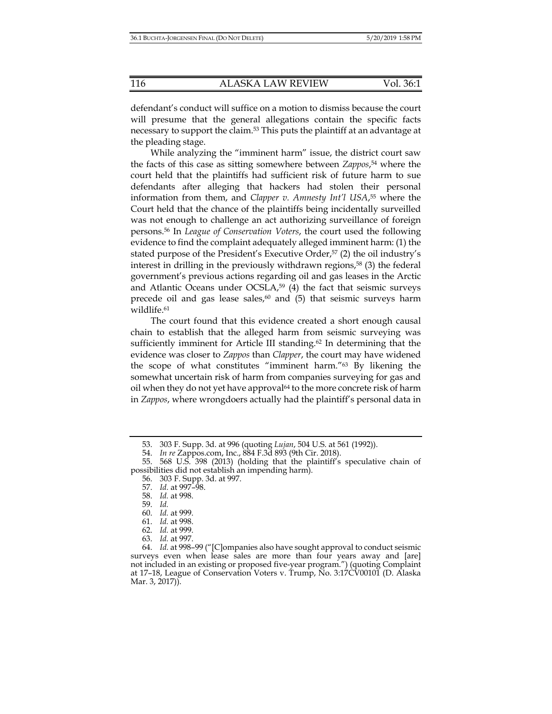defendant's conduct will suffice on a motion to dismiss because the court will presume that the general allegations contain the specific facts necessary to support the claim.<sup>53</sup> This puts the plaintiff at an advantage at the pleading stage.

While analyzing the "imminent harm" issue, the district court saw the facts of this case as sitting somewhere between *Zappos*, 54 where the court held that the plaintiffs had sufficient risk of future harm to sue defendants after alleging that hackers had stolen their personal information from them, and *Clapper v. Amnesty Int'l USA*, 55 where the Court held that the chance of the plaintiffs being incidentally surveilled was not enough to challenge an act authorizing surveillance of foreign persons.56 In *League of Conservation Voters*, the court used the following evidence to find the complaint adequately alleged imminent harm: (1) the stated purpose of the President's Executive Order,<sup>57</sup> (2) the oil industry's interest in drilling in the previously withdrawn regions, $58$  (3) the federal government's previous actions regarding oil and gas leases in the Arctic and Atlantic Oceans under  $OCSLA<sub>7</sub><sup>59</sup>$  (4) the fact that seismic surveys precede oil and gas lease sales, $60$  and (5) that seismic surveys harm wildlife.<sup>61</sup>

The court found that this evidence created a short enough causal chain to establish that the alleged harm from seismic surveying was sufficiently imminent for Article III standing.<sup>62</sup> In determining that the evidence was closer to *Zappos* than *Clapper*, the court may have widened the scope of what constitutes "imminent harm."63 By likening the somewhat uncertain risk of harm from companies surveying for gas and oil when they do not yet have approval64 to the more concrete risk of harm in *Zappos*, where wrongdoers actually had the plaintiff's personal data in

 <sup>53. 303</sup> F. Supp. 3d. at 996 (quoting *Lujan*, 504 U.S. at 561 (1992)).

 <sup>54.</sup> *In re* Zappos.com, Inc., 884 F.3d 893 (9th Cir. 2018).

 <sup>55. 568</sup> U.S. 398 (2013) (holding that the plaintiff's speculative chain of possibilities did not establish an impending harm).

 <sup>56. 303</sup> F. Supp. 3d. at 997.

 <sup>57.</sup> *Id.* at 997–98.

 <sup>58.</sup> *Id.* at 998.

 <sup>59.</sup> *Id.* 

 <sup>60.</sup> *Id.* at 999.

 <sup>61.</sup> *Id.* at 998.

 <sup>62.</sup> *Id.* at 999.

 <sup>63.</sup> *Id.* at 997.

 <sup>64.</sup> *Id.* at 998–99 ("[C]ompanies also have sought approval to conduct seismic surveys even when lease sales are more than four years away and [are] not included in an existing or proposed five-year program.") (quoting Complaint at 17–18, League of Conservation Voters v. Trump, No. 3:17CV00101 (D. Alaska Mar. 3, 2017)).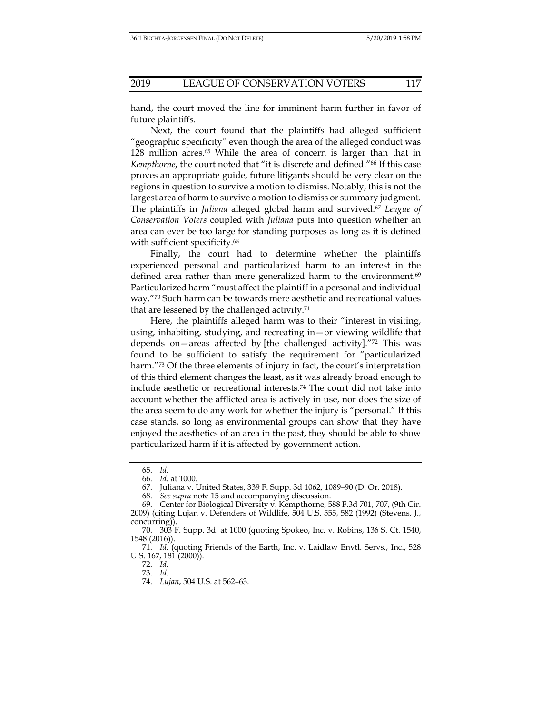hand, the court moved the line for imminent harm further in favor of future plaintiffs.

Next, the court found that the plaintiffs had alleged sufficient "geographic specificity" even though the area of the alleged conduct was 128 million acres.65 While the area of concern is larger than that in *Kempthorne*, the court noted that "it is discrete and defined."66 If this case proves an appropriate guide, future litigants should be very clear on the regions in question to survive a motion to dismiss. Notably, this is not the largest area of harm to survive a motion to dismiss or summary judgment. The plaintiffs in *Juliana* alleged global harm and survived.67 *League of Conservation Voters* coupled with *Juliana* puts into question whether an area can ever be too large for standing purposes as long as it is defined with sufficient specificity.<sup>68</sup>

Finally, the court had to determine whether the plaintiffs experienced personal and particularized harm to an interest in the defined area rather than mere generalized harm to the environment.<sup>69</sup> Particularized harm "must affect the plaintiff in a personal and individual way."70 Such harm can be towards mere aesthetic and recreational values that are lessened by the challenged activity.71

Here, the plaintiffs alleged harm was to their "interest in visiting, using, inhabiting, studying, and recreating in—or viewing wildlife that depends on—areas affected by [the challenged activity]."72 This was found to be sufficient to satisfy the requirement for "particularized harm."<sup>73</sup> Of the three elements of injury in fact, the court's interpretation of this third element changes the least, as it was already broad enough to include aesthetic or recreational interests.74 The court did not take into account whether the afflicted area is actively in use, nor does the size of the area seem to do any work for whether the injury is "personal." If this case stands, so long as environmental groups can show that they have enjoyed the aesthetics of an area in the past, they should be able to show particularized harm if it is affected by government action.

 <sup>65.</sup> *Id.*

 <sup>66.</sup> *Id.* at 1000.

 <sup>67.</sup> Juliana v. United States, 339 F. Supp. 3d 1062, 1089–90 (D. Or. 2018).

 <sup>68.</sup> *See supra* note 15 and accompanying discussion.

 <sup>69.</sup> Center for Biological Diversity v. Kempthorne, 588 F.3d 701, 707, (9th Cir. 2009) (citing Lujan v. Defenders of Wildlife, 504 U.S. 555, 582 (1992) (Stevens, J., concurring)).

 <sup>70. 303</sup> F. Supp. 3d. at 1000 (quoting Spokeo, Inc. v. Robins, 136 S. Ct. 1540, 1548 (2016)).

 <sup>71.</sup> *Id.* (quoting Friends of the Earth, Inc. v. Laidlaw Envtl. Servs., Inc., 528 U.S. 167, 181 (2000)).

 <sup>72.</sup> *Id.*

 <sup>73.</sup> *Id.*

 <sup>74.</sup> *Lujan*, 504 U.S. at 562–63.